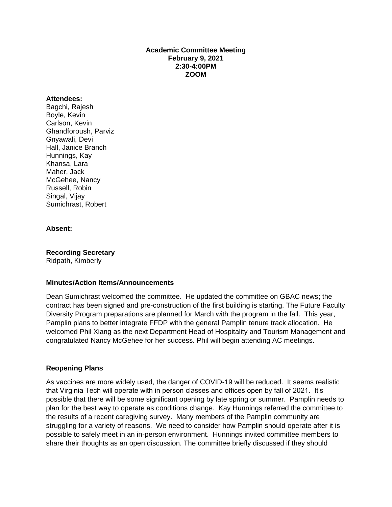### **Academic Committee Meeting February 9, 2021 2:30-4:00PM ZOOM**

#### **Attendees:**

Bagchi, Rajesh Boyle, Kevin Carlson, Kevin Ghandforoush, Parviz Gnyawali, Devi Hall, Janice Branch Hunnings, Kay Khansa, Lara Maher, Jack McGehee, Nancy Russell, Robin Singal, Vijay Sumichrast, Robert

### **Absent:**

**Recording Secretary** Ridpath, Kimberly

### **Minutes/Action Items/Announcements**

Dean Sumichrast welcomed the committee. He updated the committee on GBAC news; the contract has been signed and pre-construction of the first building is starting. The Future Faculty Diversity Program preparations are planned for March with the program in the fall. This year, Pamplin plans to better integrate FFDP with the general Pamplin tenure track allocation. He welcomed Phil Xiang as the next Department Head of Hospitality and Tourism Management and congratulated Nancy McGehee for her success. Phil will begin attending AC meetings.

### **Reopening Plans**

As vaccines are more widely used, the danger of COVID-19 will be reduced. It seems realistic that Virginia Tech will operate with in person classes and offices open by fall of 2021. It's possible that there will be some significant opening by late spring or summer. Pamplin needs to plan for the best way to operate as conditions change. Kay Hunnings referred the committee to the results of a recent caregiving survey. Many members of the Pamplin community are struggling for a variety of reasons. We need to consider how Pamplin should operate after it is possible to safely meet in an in-person environment. Hunnings invited committee members to share their thoughts as an open discussion. The committee briefly discussed if they should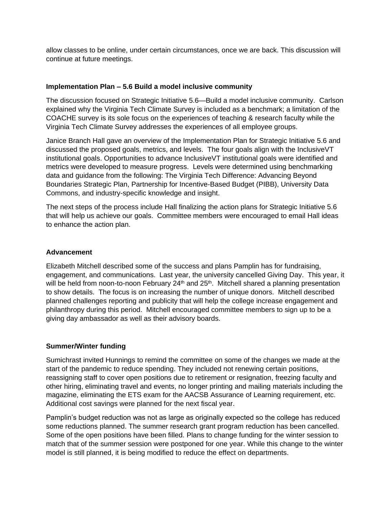allow classes to be online, under certain circumstances, once we are back. This discussion will continue at future meetings.

## **Implementation Plan – 5.6 Build a model inclusive community**

The discussion focused on Strategic Initiative 5.6—Build a model inclusive community. Carlson explained why the Virginia Tech Climate Survey is included as a benchmark; a limitation of the COACHE survey is its sole focus on the experiences of teaching & research faculty while the Virginia Tech Climate Survey addresses the experiences of all employee groups.

Janice Branch Hall gave an overview of the Implementation Plan for Strategic Initiative 5.6 and discussed the proposed goals, metrics, and levels. The four goals align with the InclusiveVT institutional goals. Opportunities to advance InclusiveVT institutional goals were identified and metrics were developed to measure progress. Levels were determined using benchmarking data and guidance from the following: The Virginia Tech Difference: Advancing Beyond Boundaries Strategic Plan, Partnership for Incentive-Based Budget (PIBB), University Data Commons, and industry-specific knowledge and insight.

The next steps of the process include Hall finalizing the action plans for Strategic Initiative 5.6 that will help us achieve our goals. Committee members were encouraged to email Hall ideas to enhance the action plan.

### **Advancement**

Elizabeth Mitchell described some of the success and plans Pamplin has for fundraising, engagement, and communications. Last year, the university cancelled Giving Day. This year, it will be held from noon-to-noon February 24<sup>th</sup> and 25<sup>th</sup>. Mitchell shared a planning presentation to show details. The focus is on increasing the number of unique donors. Mitchell described planned challenges reporting and publicity that will help the college increase engagement and philanthropy during this period. Mitchell encouraged committee members to sign up to be a giving day ambassador as well as their advisory boards.

# **Summer/Winter funding**

Sumichrast invited Hunnings to remind the committee on some of the changes we made at the start of the pandemic to reduce spending. They included not renewing certain positions, reassigning staff to cover open positions due to retirement or resignation, freezing faculty and other hiring, eliminating travel and events, no longer printing and mailing materials including the magazine, eliminating the ETS exam for the AACSB Assurance of Learning requirement, etc. Additional cost savings were planned for the next fiscal year.

Pamplin's budget reduction was not as large as originally expected so the college has reduced some reductions planned. The summer research grant program reduction has been cancelled. Some of the open positions have been filled. Plans to change funding for the winter session to match that of the summer session were postponed for one year. While this change to the winter model is still planned, it is being modified to reduce the effect on departments.